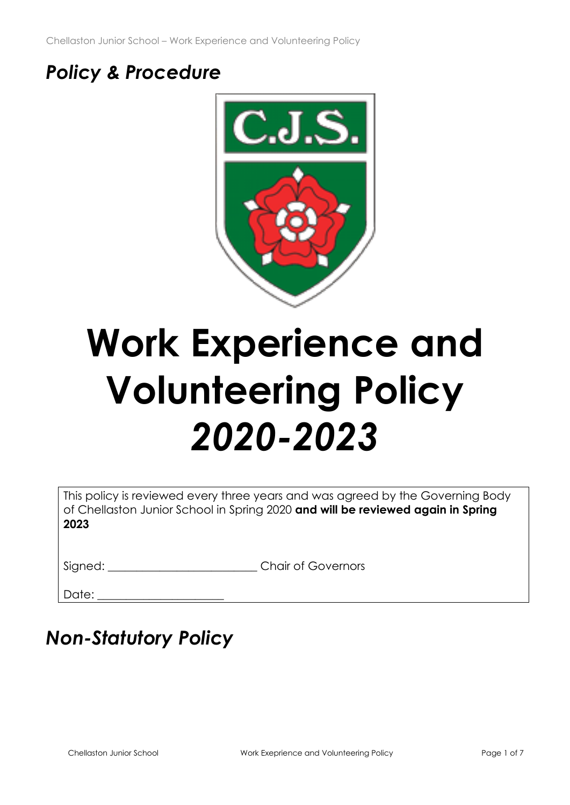Chellaston Junior School – Work Experience and Volunteering Policy

# *Policy & Procedure*



# **Work Experience and Volunteering Policy** *2020-2023*

| This policy is reviewed every three years and was agreed by the Governing Body  |
|---------------------------------------------------------------------------------|
| of Chellaston Junior School in Spring 2020 and will be reviewed again in Spring |
| 2023                                                                            |

Date:

# *Non-Statutory Policy*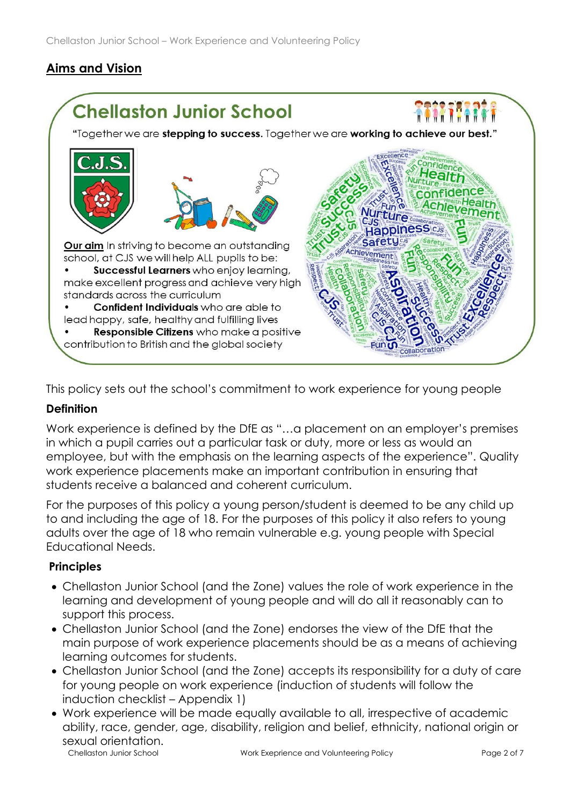# **Aims and Vision**



This policy sets out the school's commitment to work experience for young people

## **Definition**

Work experience is defined by the DfE as "…a placement on an employer's premises in which a pupil carries out a particular task or duty, more or less as would an employee, but with the emphasis on the learning aspects of the experience". Quality work experience placements make an important contribution in ensuring that students receive a balanced and coherent curriculum.

For the purposes of this policy a young person/student is deemed to be any child up to and including the age of 18. For the purposes of this policy it also refers to young adults over the age of 18 who remain vulnerable e.g. young people with Special Educational Needs.

#### **Principles**

- Chellaston Junior School (and the Zone) values the role of work experience in the learning and development of young people and will do all it reasonably can to support this process.
- Chellaston Junior School (and the Zone) endorses the view of the DfE that the main purpose of work experience placements should be as a means of achieving learning outcomes for students.
- Chellaston Junior School (and the Zone) accepts its responsibility for a duty of care for young people on work experience (induction of students will follow the induction checklist – Appendix 1)
- Chellaston Junior School **Work Exeprience and Volunteering Policy** Page 2 of 7 • Work experience will be made equally available to all, irrespective of academic ability, race, gender, age, disability, religion and belief, ethnicity, national origin or sexual orientation.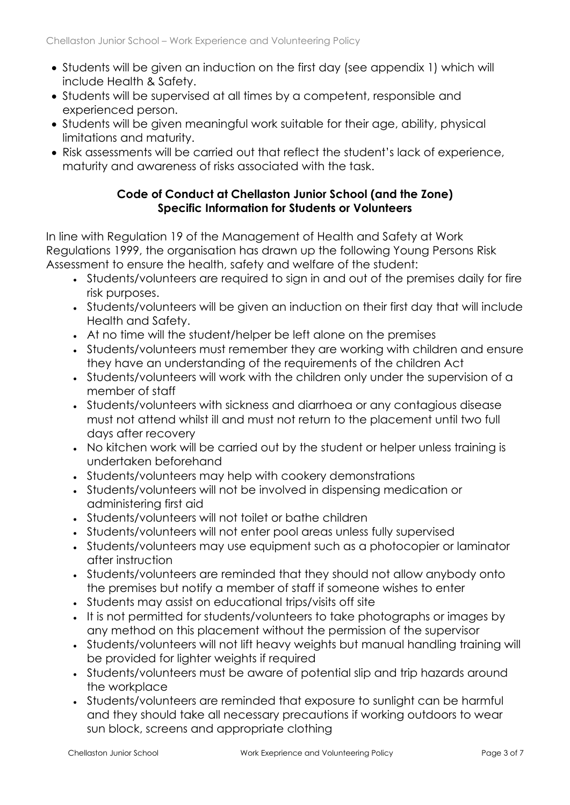- Students will be given an induction on the first day (see appendix 1) which will include Health & Safety.
- Students will be supervised at all times by a competent, responsible and experienced person.
- Students will be given meaningful work suitable for their age, ability, physical limitations and maturity.
- Risk assessments will be carried out that reflect the student's lack of experience, maturity and awareness of risks associated with the task.

#### **Code of Conduct at Chellaston Junior School (and the Zone) Specific Information for Students or Volunteers**

In line with Regulation 19 of the Management of Health and Safety at Work Regulations 1999, the organisation has drawn up the following Young Persons Risk Assessment to ensure the health, safety and welfare of the student:

- Students/volunteers are required to sign in and out of the premises daily for fire risk purposes.
- Students/volunteers will be given an induction on their first day that will include Health and Safety.
- At no time will the student/helper be left alone on the premises
- Students/volunteers must remember they are working with children and ensure they have an understanding of the requirements of the children Act
- Students/volunteers will work with the children only under the supervision of a member of staff
- Students/volunteers with sickness and diarrhoea or any contagious disease must not attend whilst ill and must not return to the placement until two full days after recovery
- No kitchen work will be carried out by the student or helper unless training is undertaken beforehand
- Students/volunteers may help with cookery demonstrations
- Students/volunteers will not be involved in dispensing medication or administering first aid
- Students/volunteers will not toilet or bathe children
- Students/volunteers will not enter pool areas unless fully supervised
- Students/volunteers may use equipment such as a photocopier or laminator after instruction
- Students/volunteers are reminded that they should not allow anybody onto the premises but notify a member of staff if someone wishes to enter
- Students may assist on educational trips/visits off site
- It is not permitted for students/volunteers to take photographs or images by any method on this placement without the permission of the supervisor
- Students/volunteers will not lift heavy weights but manual handling training will be provided for lighter weights if required
- Students/volunteers must be aware of potential slip and trip hazards around the workplace
- Students/volunteers are reminded that exposure to sunlight can be harmful and they should take all necessary precautions if working outdoors to wear sun block, screens and appropriate clothing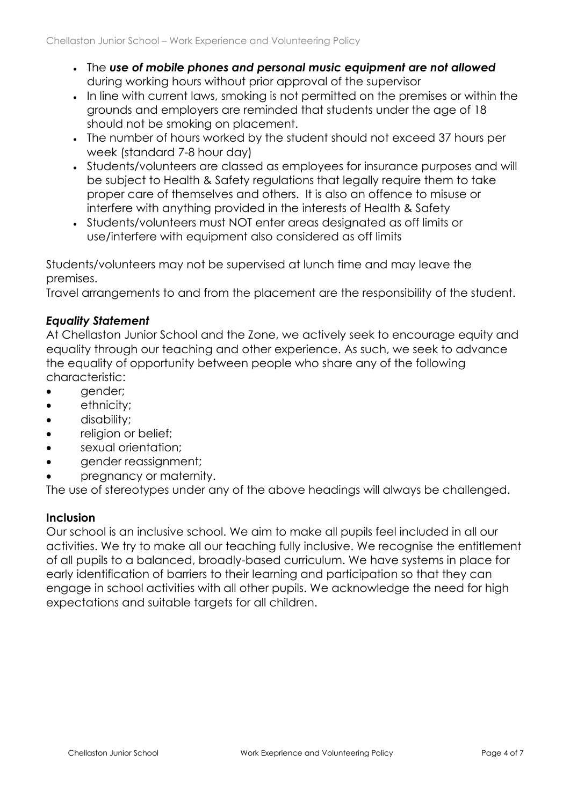- The *use of mobile phones and personal music equipment are not allowed* during working hours without prior approval of the supervisor
- In line with current laws, smoking is not permitted on the premises or within the grounds and employers are reminded that students under the age of 18 should not be smoking on placement.
- The number of hours worked by the student should not exceed 37 hours per week (standard 7-8 hour day)
- Students/volunteers are classed as employees for insurance purposes and will be subject to Health & Safety regulations that legally require them to take proper care of themselves and others. It is also an offence to misuse or interfere with anything provided in the interests of Health & Safety
- Students/volunteers must NOT enter areas designated as off limits or use/interfere with equipment also considered as off limits

Students/volunteers may not be supervised at lunch time and may leave the premises.

Travel arrangements to and from the placement are the responsibility of the student.

### *Equality Statement*

At Chellaston Junior School and the Zone, we actively seek to encourage equity and equality through our teaching and other experience. As such, we seek to advance the equality of opportunity between people who share any of the following characteristic:

- gender;
- ethnicity;
- disability;
- religion or belief;
- sexual orientation;
- gender reassignment;
- pregnancy or maternity.

The use of stereotypes under any of the above headings will always be challenged.

## **Inclusion**

Our school is an inclusive school. We aim to make all pupils feel included in all our activities. We try to make all our teaching fully inclusive. We recognise the entitlement of all pupils to a balanced, broadly-based curriculum. We have systems in place for early identification of barriers to their learning and participation so that they can engage in school activities with all other pupils. We acknowledge the need for high expectations and suitable targets for all children.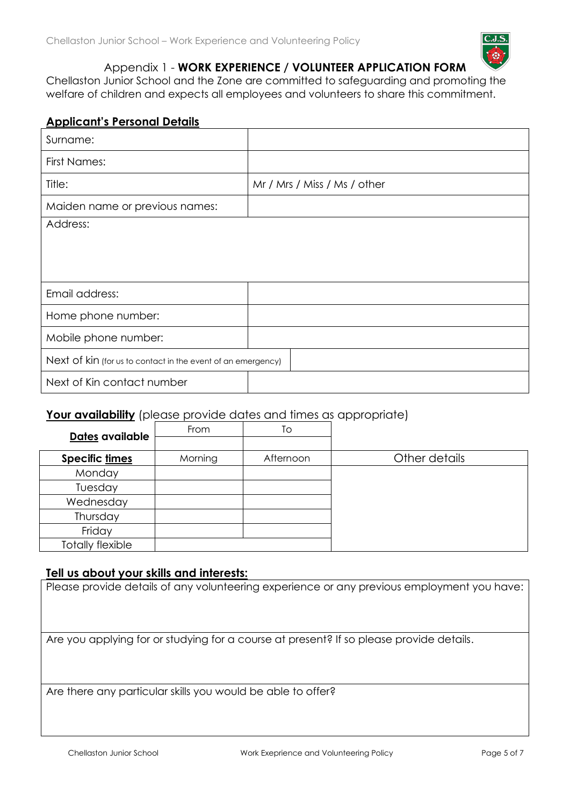

#### Appendix 1 - **WORK EXPERIENCE / VOLUNTEER APPLICATION FORM**

Chellaston Junior School and the Zone are committed to safeguarding and promoting the welfare of children and expects all employees and volunteers to share this commitment.

#### **Applicant's Personal Details**

| Surname:                                                     |                              |  |  |
|--------------------------------------------------------------|------------------------------|--|--|
| <b>First Names:</b>                                          |                              |  |  |
| Title:                                                       | Mr / Mrs / Miss / Ms / other |  |  |
| Maiden name or previous names:                               |                              |  |  |
| Address:                                                     |                              |  |  |
|                                                              |                              |  |  |
|                                                              |                              |  |  |
| Email address:                                               |                              |  |  |
| Home phone number:                                           |                              |  |  |
| Mobile phone number:                                         |                              |  |  |
| Next of kin (for us to contact in the event of an emergency) |                              |  |  |
| Next of Kin contact number                                   |                              |  |  |

#### **Your availability** (please provide dates and times as appropriate)

| Dates available         | From    | Tо        |               |
|-------------------------|---------|-----------|---------------|
|                         |         |           |               |
| Specific times          | Morning | Afternoon | Other details |
| Monday                  |         |           |               |
| Tuesday                 |         |           |               |
| Wednesday               |         |           |               |
| Thursday                |         |           |               |
| Friday                  |         |           |               |
| <b>Totally flexible</b> |         |           |               |

#### **Tell us about your skills and interests:**

Please provide details of any volunteering experience or any previous employment you have:

Are you applying for or studying for a course at present? If so please provide details.

Are there any particular skills you would be able to offer?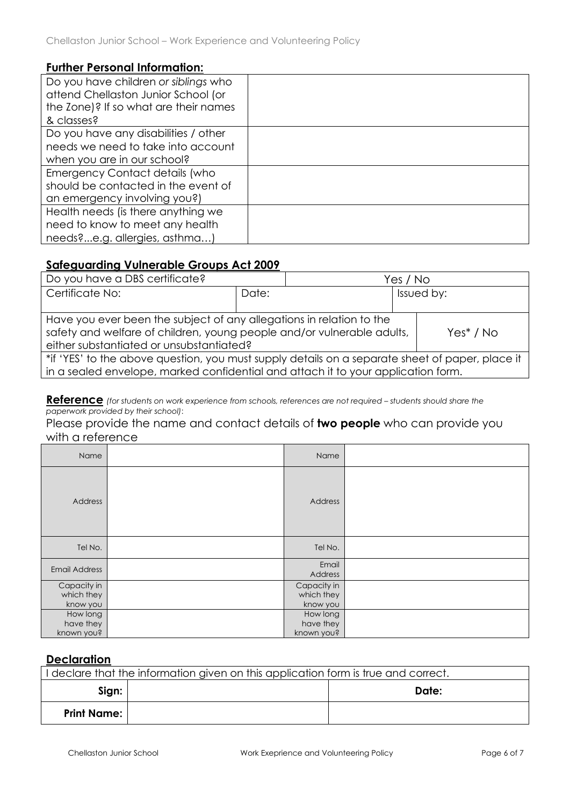#### **Further Personal Information:**

| Do you have children or siblings who  |  |
|---------------------------------------|--|
| attend Chellaston Junior School (or   |  |
| the Zone)? If so what are their names |  |
| & classes?                            |  |
| Do you have any disabilities / other  |  |
| needs we need to take into account    |  |
| when you are in our school?           |  |
| <b>Emergency Contact details (who</b> |  |
| should be contacted in the event of   |  |
| an emergency involving you?)          |  |
| Health needs (is there anything we    |  |
| need to know to meet any health       |  |
| needs?e.g. allergies, asthma)         |  |

#### **Safeguarding Vulnerable Groups Act 2009**

| Do you have a DBS certificate?                                                                                                                                                             |       | Yes / No   |  |              |
|--------------------------------------------------------------------------------------------------------------------------------------------------------------------------------------------|-------|------------|--|--------------|
| Certificate No:                                                                                                                                                                            | Date: | Issued by: |  |              |
|                                                                                                                                                                                            |       |            |  |              |
| Have you ever been the subject of any allegations in relation to the<br>safety and welfare of children, young people and/or vulnerable adults,<br>either substantiated or unsubstantiated? |       |            |  | $Yes^* / No$ |
| *if 'YES' to the above question, you must supply details on a separate sheet of paper, place it<br>in a sealed envelope, marked confidential and attach it to your application form.       |       |            |  |              |

**Reference** (for students on work experience from schools, references are not required - students should share the *paperwork provided by their school)*:

Please provide the name and contact details of **two people** who can provide you with a reference

| Name                                  | Name                                  |  |
|---------------------------------------|---------------------------------------|--|
| Address                               | Address                               |  |
| Tel No.                               | Tel No.                               |  |
| <b>Email Address</b>                  | Email<br>Address                      |  |
| Capacity in<br>which they<br>know you | Capacity in<br>which they<br>know you |  |
| How long<br>have they<br>known you?   | How long<br>have they<br>known you?   |  |

#### **Declaration**

| I declare that the information given on this application form is true and correct. |  |       |  |  |
|------------------------------------------------------------------------------------|--|-------|--|--|
| Sign:                                                                              |  | Date: |  |  |
| <b>Print Name:</b>                                                                 |  |       |  |  |